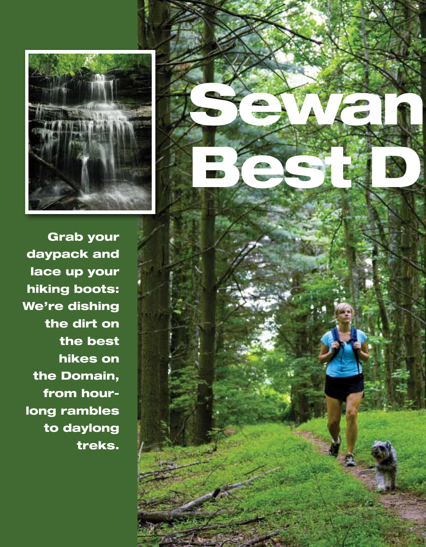



Grab your daypack and lace up your hiking boots: We're dishing the dirt on the best hikes on the Domain, from hourlong rambles to daylong treks.

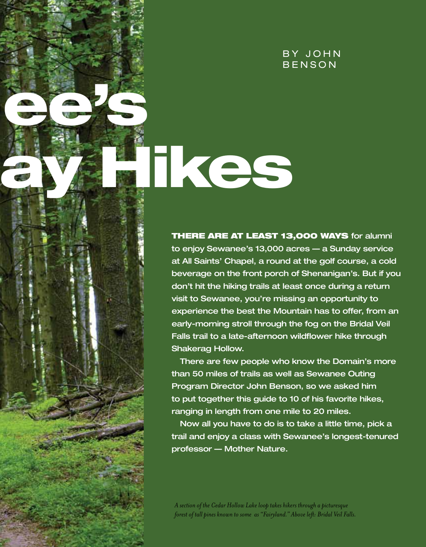#### BY JOHN **BENSON**

# Tkes

Register of the control of

**THERE ARE AT LEAST 13,000 WAYS for alumni** to enjoy Sewanee's 13,000 acres — a Sunday service at All Saints' Chapel, a round at the golf course, a cold beverage on the front porch of Shenanigan's. But if you don't hit the hiking trails at least once during a return visit to Sewanee, you're missing an opportunity to experience the best the Mountain has to offer, from an early-morning stroll through the fog on the Bridal Veil Falls trail to a late-afternoon wildflower hike through Shakerag Hollow.

There are few people who know the Domain's more than 50 miles of trails as well as Sewanee Outing Program Director John Benson, so we asked him to put together this guide to 10 of his favorite hikes, ranging in length from one mile to 20 miles.

Now all you have to do is to take a little time, pick a trail and enjoy a class with Sewanee's longest-tenured professor — Mother Nature.

*A section of the Cedar Hollow Lake loop takes hikers through a picturesque forest of tall pines known to some as "Fairyland." Above left: Bridal Veil Falls.*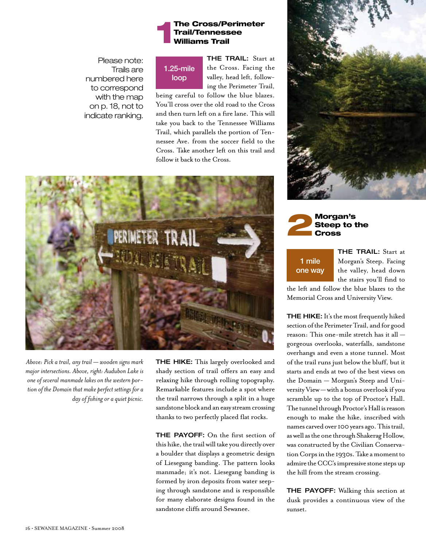#### 1The Cross/Perimeter Trail/Tennessee Williams Trail

Please note: Trails are numbered here to correspond with the map on p. 18, not to indicate ranking.

## 1.25-mile loop

THE TRAIL: Start at the Cross. Facing the valley, head left, following the Perimeter Trail,

being careful to follow the blue blazes. You'll cross over the old road to the Cross and then turn left on a fire lane. This will take you back to the Tennessee Williams Trail, which parallels the portion of Tennessee Ave. from the soccer field to the Cross. Take another left on this trail and follow it back to the Cross.



*Above: Pick a trail, any trail — wooden signs mark major intersections. Above, right: Audubon Lake is one of several manmade lakes on the western portion of the Domain that make perfect settings for a day of fishing or a quiet picnic.*

THE HIKE: This largely overlooked and shady section of trail offers an easy and relaxing hike through rolling topography. Remarkable features include a spot where the trail narrows through a split in a huge sandstone block and an easy stream crossing thanks to two perfectly placed flat rocks.

THE PAYOFF: On the first section of this hike, the trail will take you directly over a boulder that displays a geometric design of Liesegang banding. The pattern looks manmade; it's not. Liesegang banding is formed by iron deposits from water seeping through sandstone and is responsible for many elaborate designs found in the sandstone cliffs around Sewanee.





1 mile one way

THE TRAIL: Start at Morgan's Steep. Facing the valley, head down the stairs you'll find to

the left and follow the blue blazes to the Memorial Cross and University View.

THE HIKE: It's the most frequently hiked section of the Perimeter Trail, and for good reason: This one-mile stretch has it all gorgeous overlooks, waterfalls, sandstone overhangs and even a stone tunnel. Most of the trail runs just below the bluff, but it starts and ends at two of the best views on the Domain — Morgan's Steep and University View — with a bonus overlook if you scramble up to the top of Proctor's Hall. The tunnel through Proctor's Hall is reason enough to make the hike, inscribed with names carved over 100 years ago. This trail, as well as the one through Shakerag Hollow, was constructed by the Civilian Conservation Corps in the 1930s. Take a moment to admire the CCC's impressive stone steps up the hill from the stream crossing.

THE PAYOFF: Walking this section at dusk provides a continuous view of the sunset.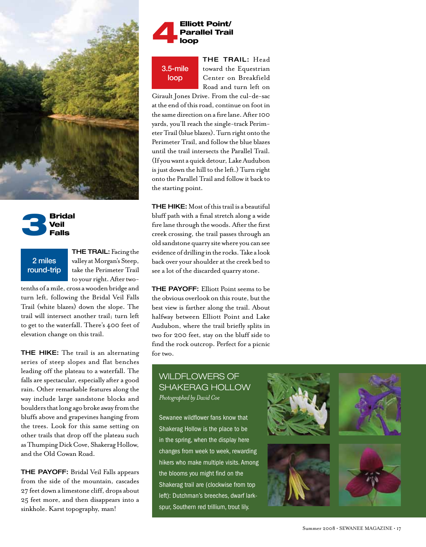



#### 2 miles round-trip

THE TRAIL: Facing the valley at Morgan's Steep, take the Perimeter Trail to your right. After two-

tenths of a mile, cross a wooden bridge and turn left, following the Bridal Veil Falls Trail (white blazes) down the slope. The trail will intersect another trail; turn left to get to the waterfall. There's 400 feet of elevation change on this trail.

THE HIKE: The trail is an alternating series of steep slopes and flat benches leading off the plateau to a waterfall. The falls are spectacular, especially after a good rain. Other remarkable features along the way include large sandstone blocks and boulders that long ago broke away from the bluffs above and grapevines hanging from the trees. Look for this same setting on other trails that drop off the plateau such as Thumping Dick Cove, Shakerag Hollow, and the Old Cowan Road.

THE PAYOFF: Bridal Veil Falls appears from the side of the mountain, cascades 27 feet down a limestone cliff, drops about 25 feet more, and then disappears into a sinkhole. Karst topography, man!



3.5-mile loop

THE TRAIL: Head toward the Equestrian Center on Breakfield Road and turn left on

Girault Jones Drive. From the cul-de-sac at the end of this road, continue on foot in the same direction on a fire lane. After 100 yards, you'll reach the single-track Perimeter Trail (blue blazes). Turn right onto the Perimeter Trail, and follow the blue blazes until the trail intersects the Parallel Trail. (If you want a quick detour, Lake Audubon is just down the hill to the left.) Turn right onto the Parallel Trail and follow it back to the starting point.

**THE HIKE:** Most of this trail is a beautiful bluff path with a final stretch along a wide fire lane through the woods. After the first creek crossing, the trail passes through an old sandstone quarry site where you can see evidence of drilling in the rocks. Take a look back over your shoulder at the creek bed to see a lot of the discarded quarry stone.

THE PAYOFF: Elliott Point seems to be the obvious overlook on this route, but the best view is farther along the trail. About halfway between Elliott Point and Lake Audubon, where the trail briefly splits in two for 200 feet, stay on the bluff side to find the rock outcrop. Perfect for a picnic for two.

#### wildFlowers of Shakerag Hollow *Photographed by David Coe*

Sewanee wildflower fans know that Shakerag Hollow is the place to be in the spring, when the display here changes from week to week, rewarding hikers who make multiple visits. Among the blooms you might find on the Shakerag trail are (clockwise from top left): Dutchman's breeches, dwarf larkspur, Southern red trillium, trout lily.

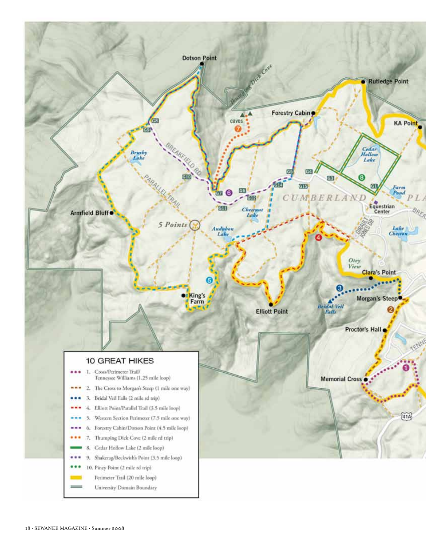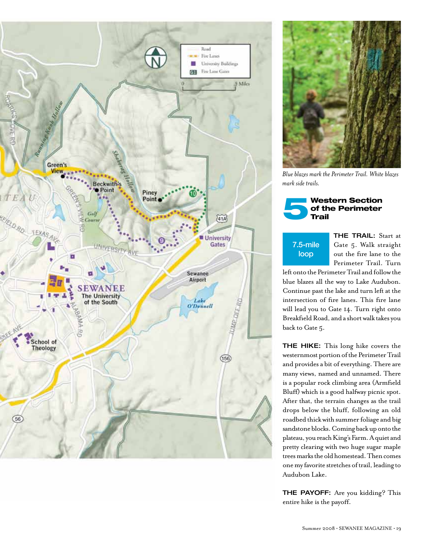



*Blue blazes mark the Perimeter Trail. White blazes mark side trails.*



## 7.5-mile loop

THE TRAIL: Start at Gate 5. Walk straight out the fire lane to the Perimeter Trail. Turn

left onto the Perimeter Trail and follow the blue blazes all the way to Lake Audubon. Continue past the lake and turn left at the intersection of fire lanes. This fire lane will lead you to Gate 14. Turn right onto Breakfield Road, and a short walk takes you back to Gate 5.

THE HIKE: This long hike covers the westernmost portion of the Perimeter Trail and provides a bit of everything. There are many views, named and unnamed. There is a popular rock climbing area (Armfield Bluff) which is a good halfway picnic spot. After that, the terrain changes as the trail drops below the bluff, following an old roadbed thick with summer foliage and big sandstone blocks. Coming back up onto the plateau, you reach King's Farm. A quiet and pretty clearing with two huge sugar maple trees marks the old homestead. Then comes one my favorite stretches of trail, leading to Audubon Lake.

THE PAYOFF: Are you kidding? This entire hike is the payoff.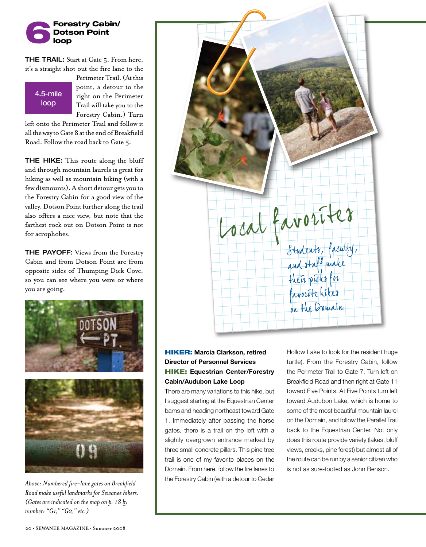

**THE TRAIL:** Start at Gate 5. From here, it's a straight shot out the fire lane to the

#### 4.5-mile loop

Perimeter Trail. (At this point, a detour to the right on the Perimeter Trail will take you to the Forestry Cabin.) Turn

left onto the Perimeter Trail and follow it all the way to Gate 8 at the end of Breakfield Road. Follow the road back to Gate 5.

**THE HIKE:** This route along the bluff and through mountain laurels is great for hiking as well as mountain biking (with a few dismounts). A short detour gets you to the Forestry Cabin for a good view of the valley. Dotson Point further along the trail also offers a nice view, but note that the farthest rock out on Dotson Point is not for acrophobes.

THE PAYOFF: Views from the Forestry Cabin and from Dotson Point are from opposite sides of Thumping Dick Cove, so you can see where you were or where you are going.



*Above: Numbered fire-lane gates on Breakfield Road make useful landmarks for Sewanee hikers. (Gates are indicated on the map on p. 18 by number: "G1," "G2," etc.)*



#### **HIKER: Marcia Clarkson, retired Director of Personnel Services** Hike: **Equestrian Center/Forestry Cabin/Audubon Lake Loop**

There are many variations to this hike, but I suggest starting at the Equestrian Center barns and heading northeast toward Gate 1. Immediately after passing the horse gates, there is a trail on the left with a slightly overgrown entrance marked by three small concrete pillars. This pine tree trail is one of my favorite places on the Domain. From here, follow the fire lanes to the Forestry Cabin (with a detour to Cedar

Hollow Lake to look for the resident huge turtle). From the Forestry Cabin, follow the Perimeter Trail to Gate 7. Turn left on Breakfield Road and then right at Gate 11 toward Five Points. At Five Points turn left toward Audubon Lake, which is home to some of the most beautiful mountain laurel on the Domain, and follow the Parallel Trail back to the Equestrian Center. Not only does this route provide variety (lakes, bluff views, creeks, pine forest) but almost all of the route can be run by a senior citizen who is not as sure-footed as John Benson.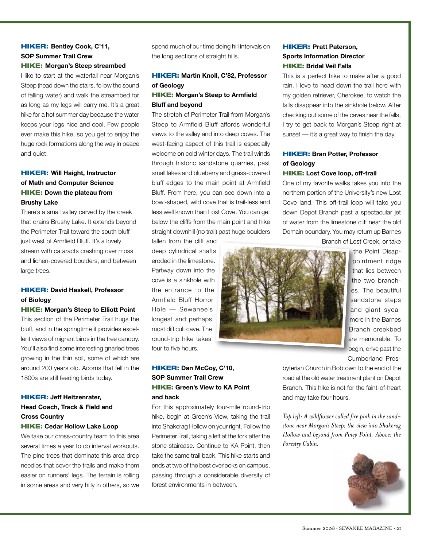#### **HIKER: Bentley Cook, C'11, SOP Summer Trail Crew** Hike: **Morgan's Steep streambed**

I like to start at the waterfall near Morgan's Steep (head down the stairs, follow the sound of falling water) and walk the streambed for as long as my legs will carry me. It's a great hike for a hot summer day because the water keeps your legs nice and cool. Few people ever make this hike, so you get to enjoy the huge rock formations along the way in peace and quiet.

#### **HIKER: Will Haight, Instructor of Math and Computer Science** Hike: **Down the plateau from Brushy Lake**

There's a small valley carved by the creek that drains Brushy Lake. It extends beyond the Perimeter Trail toward the south bluff just west of Armfield Bluff. It's a lovely stream with cataracts crashing over moss and lichen-covered boulders, and between large trees.

#### **HIKER: David Haskell, Professor of Biology**

#### Hike: **Morgan's Steep to Elliott Point**

This section of the Perimeter Trail hugs the bluff, and in the springtime it provides excellent views of migrant birds in the tree canopy. You'll also find some interesting gnarled trees growing in the thin soil, some of which are around 200 years old. Acorns that fell in the 1800s are still feeding birds today.

#### **HIKER: Jeff Heitzenrater, Head Coach, Track & Field and Cross Country**

#### Hike: **Cedar Hollow Lake Loop**

We take our cross-country team to this area several times a year to do interval workouts. The pine trees that dominate this area drop needles that cover the trails and make them easier on runners' legs. The terrain is rolling in some areas and very hilly in others, so we

spend much of our time doing hill intervals on the long sections of straight hills.

#### **HIKER: Martin Knoll, C'82, Professor of Geology**

#### Hike: **Morgan's Steep to Armfield Bluff and beyond**

The stretch of Perimeter Trail from Morgan's Steep to Armfield Bluff affords wonderful views to the valley and into deep coves. The west-facing aspect of this trail is especially welcome on cold winter days. The trail winds through historic sandstone quarries, past small lakes and blueberry and grass-covered bluff edges to the main point at Armfield Bluff. From here, you can see down into a bowl-shaped, wild cove that is trail-less and less well known than Lost Cove. You can get below the cliffs from the main point and hike straight downhill (no trail) past huge boulders

fallen from the cliff and deep cylindrical shafts eroded in the limestone. Partway down into the cove is a sinkhole with the entrance to the Armfield Bluff Horror Hole — Sewanee's longest and perhaps most difficult cave. The round-trip hike takes four to five hours.

## **HIKER: Bran Potter, Professor** Hike: **Lost Cove loop, off-trail** One of my favorite walks takes you into the northern portion of the University's new Lost Cove land. This off-trail loop will take you down Depot Branch past a spectacular jet of water from the limestone cliff near the old Domain boundary. You may return up Barnes

**HIKER: Pratt Paterson, Sports Information Director** Hike: **Bridal Veil Falls**

**of Geology**

This is a perfect hike to make after a good rain. I love to head down the trail here with my golden retriever, Cherokee, to watch the falls disappear into the sinkhole below. After checking out some of the caves near the falls, I try to get back to Morgan's Steep right at sunset — it's a great way to finish the day.

Branch of Lost Creek, or take

the Point Disappointment ridge that lies between the two branches. The beautiful sandstone steps and giant sycamore in the Barnes Branch creekbed are memorable. To begin, drive past the Cumberland Pres-

#### Hiker: **Dan McCoy, C'10, SOP Summer Trail Crew** Hike: **Green's View to KA Point and back**

For this approximately four-mile round-trip hike, begin at Green's View, taking the trail into Shakerag Hollow on your right. Follow the Perimeter Trail, taking a left at the fork after the stone staircase. Continue to KA Point, then take the same trail back. This hike starts and ends at two of the best overlooks on campus, passing through a considerable diversity of forest environments in between.

byterian Church in Bobtown to the end of the road at the old water treatment plant on Depot Branch. This hike is not for the faint-of-heart and may take four hours.

*Top left: A wildflower called fire pink in the sandstone near Morgan's Steep; the view into Shakerag Hollow and beyond from Piney Point. Above: the Forestry Cabin.*

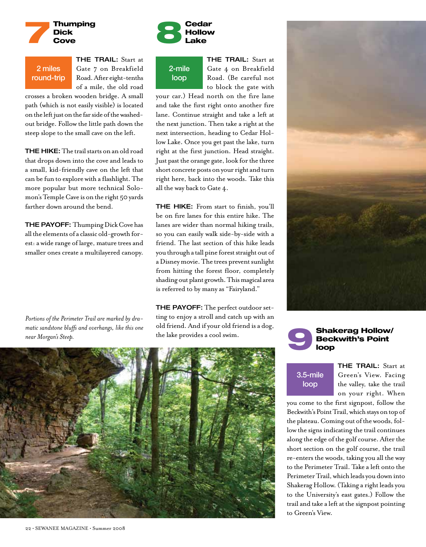

#### 2 miles round-trip

THE TRAIL: Start at Gate 7 on Breakfield Road. After eight-tenths of a mile, the old road

crosses a broken wooden bridge. A small path (which is not easily visible) is located on the left just on the far side of the washedout bridge. Follow the little path down the steep slope to the small cave on the left.

THE HIKE: The trail starts on an old road that drops down into the cove and leads to a small, kid-friendly cave on the left that can be fun to explore with a flashlight. The more popular but more technical Solomon's Temple Cave is on the right 50 yards farther down around the bend.

**THE PAYOFF:** Thumping Dick Cove has all the elements of a classic old-growth forest: a wide range of large, mature trees and smaller ones create a multilayered canopy.

*Portions of the Perimeter Trail are marked by dramatic sandstone bluffs and overhangs, like this one near Morgan's Steep.*



2-mile loop

THE TRAIL: Start at Gate 4 on Breakfield Road. (Be careful not to block the gate with

your car.) Head north on the fire lane and take the first right onto another fire lane. Continue straight and take a left at the next junction. Then take a right at the next intersection, heading to Cedar Hollow Lake. Once you get past the lake, turn right at the first junction. Head straight. Just past the orange gate, look for the three short concrete posts on your right and turn right here, back into the woods. Take this all the way back to Gate 4.

**THE HIKE:** From start to finish, you'll be on fire lanes for this entire hike. The lanes are wider than normal hiking trails, so you can easily walk side-by-side with a friend. The last section of this hike leads you through a tall pine forest straight out of a Disney movie. The trees prevent sunlight from hitting the forest floor, completely shading out plant growth. This magical area is referred to by many as "Fairyland."

THE PAYOFF: The perfect outdoor setting to enjoy a stroll and catch up with an old friend. And if your old friend is a dog, the lake provides a cool swim.



#### 9 Shakerag Hollow/ Beckwith's Point loop

### 3.5-mile loop

THE TRAIL: Start at Green's View. Facing the valley, take the trail on your right. When

you come to the first signpost, follow the Beckwith's Point Trail, which stays on top of the plateau. Coming out of the woods, follow the signs indicating the trail continues along the edge of the golf course. After the short section on the golf course, the trail re-enters the woods, taking you all the way to the Perimeter Trail. Take a left onto the Perimeter Trail, which leads you down into Shakerag Hollow. (Taking a right leads you to the University's east gates.) Follow the trail and take a left at the signpost pointing to Green's View.